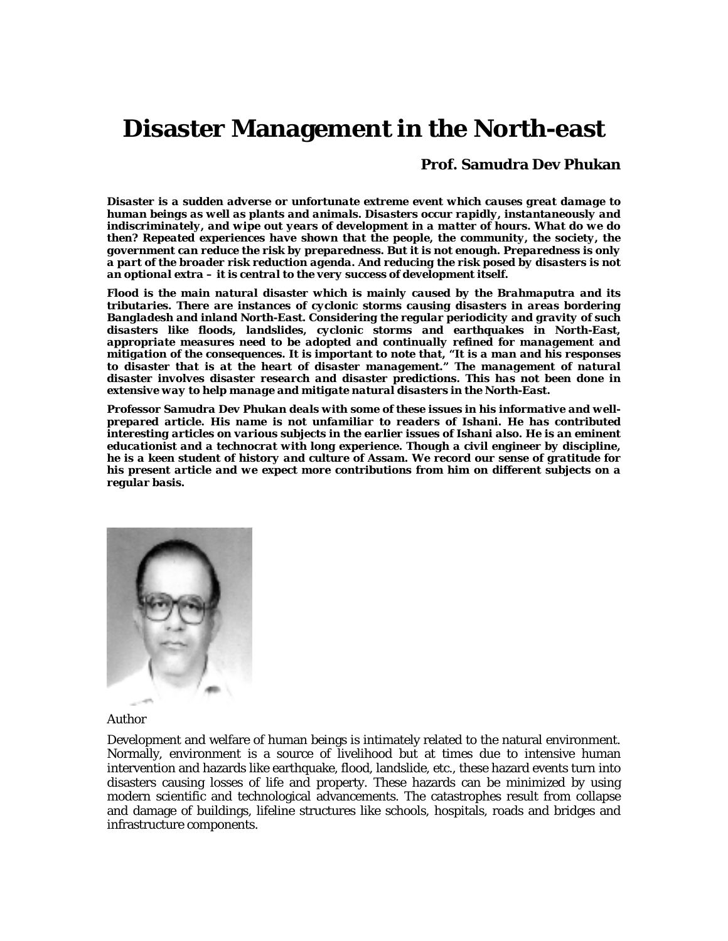# **Disaster Management in the North-east**

### **Prof. Samudra Dev Phukan**

*Disaster is a sudden adverse or unfortunate extreme event which causes great damage to human beings as well as plants and animals. Disasters occur rapidly, instantaneously and indiscriminately, and wipe out years of development in a matter of hours. What do we do then? Repeated experiences have shown that the people, the community, the society, the government can reduce the risk by preparedness. But it is not enough. Preparedness is only a part of the broader risk reduction agenda. And reducing the risk posed by disasters is not an optional extra – it is central to the very success of development itself.* 

*Flood is the main natural disaster which is mainly caused by the Brahmaputra and its tributaries. There are instances of cyclonic storms causing disasters in areas bordering Bangladesh and inland North-East. Considering the regular periodicity and gravity of such disasters like floods, landslides, cyclonic storms and earthquakes in North-East, appropriate measures need to be adopted and continually refined for management and mitigation of the consequences. It is important to note that, "It is a man and his responses to disaster that is at the heart of disaster management." The management of natural disaster involves disaster research and disaster predictions. This has not been done in extensive way to help manage and mitigate natural disasters in the North-East.* 

*Professor Samudra Dev Phukan deals with some of these issues in his informative and wellprepared article. His name is not unfamiliar to readers of Ishani. He has contributed interesting articles on various subjects in the earlier issues of Ishani also. He is an eminent educationist and a technocrat with long experience. Though a civil engineer by discipline, he is a keen student of history and culture of Assam. We record our sense of gratitude for his present article and we expect more contributions from him on different subjects on a regular basis.* 



Author

Development and welfare of human beings is intimately related to the natural environment. Normally, environment is a source of livelihood but at times due to intensive human intervention and hazards like earthquake, flood, landslide, etc., these hazard events turn into disasters causing losses of life and property. These hazards can be minimized by using modern scientific and technological advancements. The catastrophes result from collapse and damage of buildings, lifeline structures like schools, hospitals, roads and bridges and infrastructure components.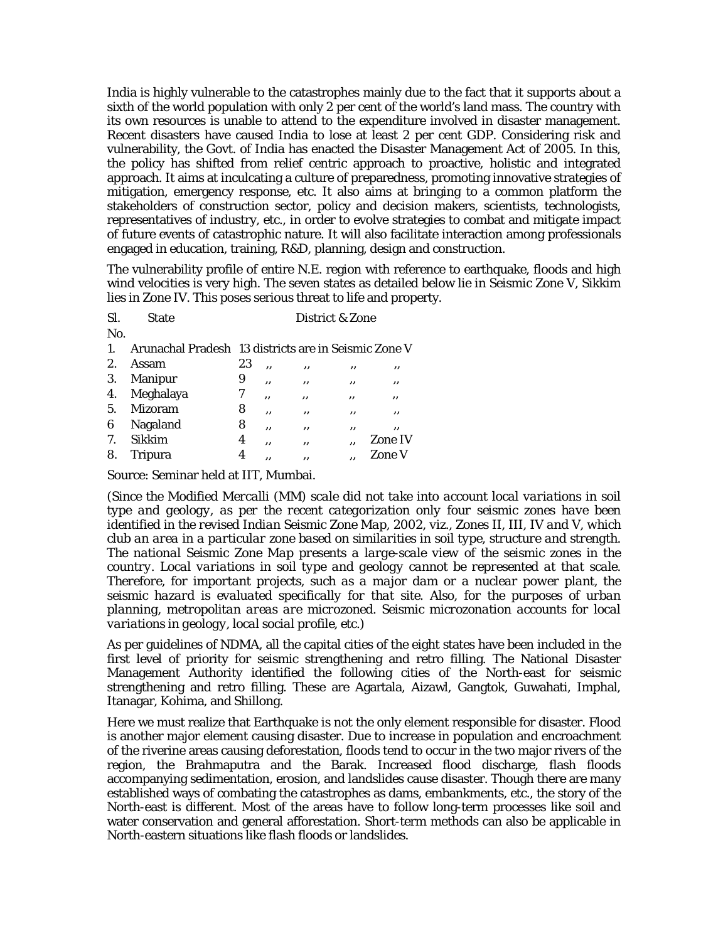India is highly vulnerable to the catastrophes mainly due to the fact that it supports about a sixth of the world population with only 2 per cent of the world's land mass. The country with its own resources is unable to attend to the expenditure involved in disaster management. Recent disasters have caused India to lose at least 2 per cent GDP. Considering risk and vulnerability, the Govt. of India has enacted the Disaster Management Act of 2005. In this, the policy has shifted from relief centric approach to proactive, holistic and integrated approach. It aims at inculcating a culture of preparedness, promoting innovative strategies of mitigation, emergency response, etc. It also aims at bringing to a common platform the stakeholders of construction sector, policy and decision makers, scientists, technologists, representatives of industry, etc., in order to evolve strategies to combat and mitigate impact of future events of catastrophic nature. It will also facilitate interaction among professionals engaged in education, training, R&D, planning, design and construction.

The vulnerability profile of entire N.E. region with reference to earthquake, floods and high wind velocities is very high. The seven states as detailed below lie in Seismic Zone V, Sikkim lies in Zone IV. This poses serious threat to life and property.

| Sl. | <b>State</b>                                         | District & Zone |     |    |    |                |
|-----|------------------------------------------------------|-----------------|-----|----|----|----------------|
| No. |                                                      |                 |     |    |    |                |
| 1.  | Arunachal Pradesh 13 districts are in Seismic Zone V |                 |     |    |    |                |
| 2.  | Assam                                                | 23              | ٠,  | ,, | ,, | ,,             |
| 3.  | Manipur                                              | 9               | , , | ,, | ,, | ,,             |
|     | 4. Meghalaya                                         | 7               | ,,  | ,, | ,, | ,,             |
| 5.  | Mizoram                                              | 8               | ,,  | ,, | ,, | ,,             |
| 6   | Nagaland                                             | 8               | , , | ,, | ,, | ,,             |
| 7.  | Sikkim                                               | 4               | ,,  | ,, | ,, | <b>Zone IV</b> |
| 8.  | <b>Tripura</b>                                       | 4               | ,,  | ,, | ,, | <b>Zone V</b>  |

Source: Seminar held at IIT, Mumbai.

*(Since the Modified Mercalli (MM) scale did not take into account local variations in soil type and geology, as per the recent categorization only four seismic zones have been identified in the revised Indian Seismic Zone Map, 2002, viz., Zones II, III, IV and V, which club an area in a particular zone based on similarities in soil type, structure and strength. The national Seismic Zone Map presents a large-scale view of the seismic zones in the country. Local variations in soil type and geology cannot be represented at that scale. Therefore, for important projects, such as a major dam or a nuclear power plant, the seismic hazard is evaluated specifically for that site. Also, for the purposes of urban planning, metropolitan areas are microzoned. Seismic microzonation accounts for local variations in geology, local social profile, etc.)* 

As per guidelines of NDMA, all the capital cities of the eight states have been included in the first level of priority for seismic strengthening and retro filling. The National Disaster Management Authority identified the following cities of the North-east for seismic strengthening and retro filling. These are Agartala, Aizawl, Gangtok, Guwahati, Imphal, Itanagar, Kohima, and Shillong.

Here we must realize that Earthquake is not the only element responsible for disaster. Flood is another major element causing disaster. Due to increase in population and encroachment of the riverine areas causing deforestation, floods tend to occur in the two major rivers of the region, the Brahmaputra and the Barak. Increased flood discharge, flash floods accompanying sedimentation, erosion, and landslides cause disaster. Though there are many established ways of combating the catastrophes as dams, embankments, etc., the story of the North-east is different. Most of the areas have to follow long-term processes like soil and water conservation and general afforestation. Short-term methods can also be applicable in North-eastern situations like flash floods or landslides.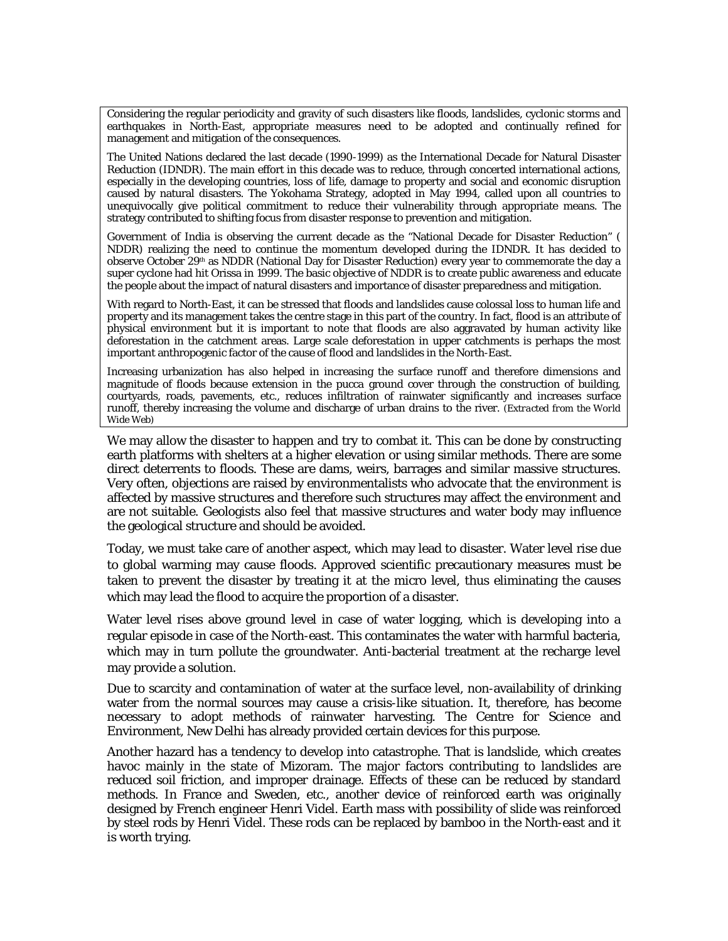Considering the regular periodicity and gravity of such disasters like floods, landslides, cyclonic storms and earthquakes in North-East, appropriate measures need to be adopted and continually refined for management and mitigation of the consequences.

The United Nations declared the last decade (1990-1999) as the International Decade for Natural Disaster Reduction (IDNDR). The main effort in this decade was to reduce, through concerted international actions, especially in the developing countries, loss of life, damage to property and social and economic disruption caused by natural disasters. The Yokohama Strategy, adopted in May 1994, called upon all countries to unequivocally give political commitment to reduce their vulnerability through appropriate means. The strategy contributed to shifting focus from disaster response to prevention and mitigation.

Government of India is observing the current decade as the "National Decade for Disaster Reduction" ( NDDR) realizing the need to continue the momentum developed during the IDNDR. It has decided to observe October 29<sup>th</sup> as NDDR (National Day for Disaster Reduction) every year to commemorate the day a super cyclone had hit Orissa in 1999. The basic objective of NDDR is to create public awareness and educate the people about the impact of natural disasters and importance of disaster preparedness and mitigation.

With regard to North-East, it can be stressed that floods and landslides cause colossal loss to human life and property and its management takes the centre stage in this part of the country. In fact, flood is an attribute of physical environment but it is important to note that floods are also aggravated by human activity like deforestation in the catchment areas. Large scale deforestation in upper catchments is perhaps the most important anthropogenic factor of the cause of flood and landslides in the North-East.

Increasing urbanization has also helped in increasing the surface runoff and therefore dimensions and magnitude of floods because extension in the *pucca* ground cover through the construction of building, courtyards, roads, pavements, etc., reduces infiltration of rainwater significantly and increases surface runoff, thereby increasing the volume and discharge of urban drains to the river. *(Extracted from the World Wide Web)*

We may allow the disaster to happen and try to combat it. This can be done by constructing earth platforms with shelters at a higher elevation or using similar methods. There are some direct deterrents to floods. These are dams, weirs, barrages and similar massive structures. Very often, objections are raised by environmentalists who advocate that the environment is affected by massive structures and therefore such structures may affect the environment and are not suitable. Geologists also feel that massive structures and water body may influence the geological structure and should be avoided.

Today, we must take care of another aspect, which may lead to disaster. Water level rise due to global warming may cause floods. Approved scientific precautionary measures must be taken to prevent the disaster by treating it at the micro level, thus eliminating the causes which may lead the flood to acquire the proportion of a disaster.

Water level rises above ground level in case of water logging, which is developing into a regular episode in case of the North-east. This contaminates the water with harmful bacteria, which may in turn pollute the groundwater. Anti-bacterial treatment at the recharge level may provide a solution.

Due to scarcity and contamination of water at the surface level, non-availability of drinking water from the normal sources may cause a crisis-like situation. It, therefore, has become necessary to adopt methods of rainwater harvesting. The Centre for Science and Environment, New Delhi has already provided certain devices for this purpose.

Another hazard has a tendency to develop into catastrophe. That is landslide, which creates havoc mainly in the state of Mizoram. The major factors contributing to landslides are reduced soil friction, and improper drainage. Effects of these can be reduced by standard methods. In France and Sweden, etc., another device of reinforced earth was originally designed by French engineer Henri Videl. Earth mass with possibility of slide was reinforced by steel rods by Henri Videl. These rods can be replaced by bamboo in the North-east and it is worth trying.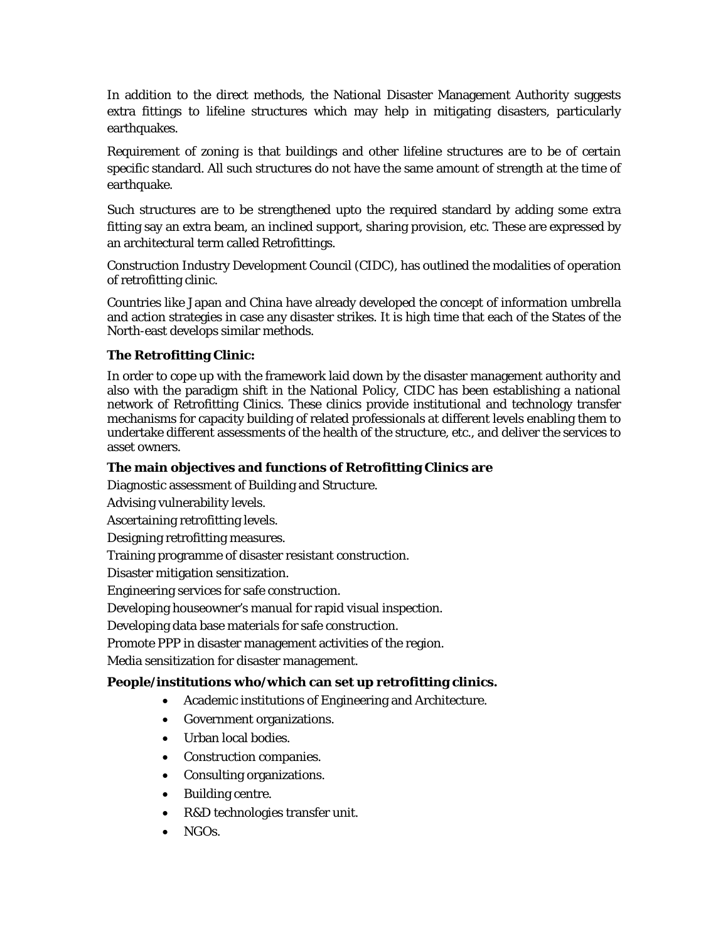In addition to the direct methods, the National Disaster Management Authority suggests extra fittings to lifeline structures which may help in mitigating disasters, particularly earthquakes.

Requirement of zoning is that buildings and other lifeline structures are to be of certain specific standard. All such structures do not have the same amount of strength at the time of earthquake.

Such structures are to be strengthened upto the required standard by adding some extra fitting say an extra beam, an inclined support, sharing provision, etc. These are expressed by an architectural term called Retrofittings.

Construction Industry Development Council (CIDC), has outlined the modalities of operation of retrofitting clinic.

Countries like Japan and China have already developed the concept of information umbrella and action strategies in case any disaster strikes. It is high time that each of the States of the North-east develops similar methods.

## **The Retrofitting Clinic:**

In order to cope up with the framework laid down by the disaster management authority and also with the paradigm shift in the National Policy, CIDC has been establishing a national network of Retrofitting Clinics. These clinics provide institutional and technology transfer mechanisms for capacity building of related professionals at different levels enabling them to undertake different assessments of the health of the structure, etc., and deliver the services to asset owners.

## **The main objectives and functions of Retrofitting Clinics are**

Diagnostic assessment of Building and Structure.

Advising vulnerability levels.

Ascertaining retrofitting levels.

Designing retrofitting measures.

Training programme of disaster resistant construction.

Disaster mitigation sensitization.

Engineering services for safe construction.

Developing houseowner's manual for rapid visual inspection.

Developing data base materials for safe construction.

Promote PPP in disaster management activities of the region.

Media sensitization for disaster management.

### **People/institutions who/which can set up retrofitting clinics.**

- Academic institutions of Engineering and Architecture.
- Government organizations.
- Urban local bodies.
- Construction companies.
- Consulting organizations.
- Building centre.
- R&D technologies transfer unit.
- NGOs.